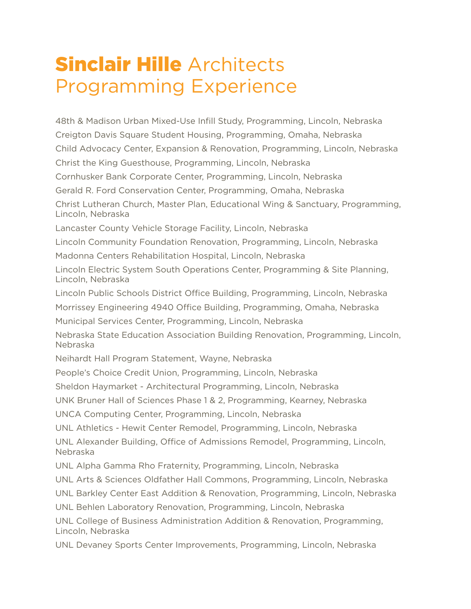## **Sinclair Hille Architects** Programming Experience

48th & Madison Urban Mixed-Use Infill Study, Programming, Lincoln, Nebraska Creigton Davis Square Student Housing, Programming, Omaha, Nebraska Child Advocacy Center, Expansion & Renovation, Programming, Lincoln, Nebraska Christ the King Guesthouse, Programming, Lincoln, Nebraska Cornhusker Bank Corporate Center, Programming, Lincoln, Nebraska Gerald R. Ford Conservation Center, Programming, Omaha, Nebraska Christ Lutheran Church, Master Plan, Educational Wing & Sanctuary, Programming, Lincoln, Nebraska Lancaster County Vehicle Storage Facility, Lincoln, Nebraska Lincoln Community Foundation Renovation, Programming, Lincoln, Nebraska Madonna Centers Rehabilitation Hospital, Lincoln, Nebraska Lincoln Electric System South Operations Center, Programming & Site Planning, Lincoln, Nebraska Lincoln Public Schools District Office Building, Programming, Lincoln, Nebraska Morrissey Engineering 4940 Office Building, Programming, Omaha, Nebraska Municipal Services Center, Programming, Lincoln, Nebraska Nebraska State Education Association Building Renovation, Programming, Lincoln, Nebraska Neihardt Hall Program Statement, Wayne, Nebraska People's Choice Credit Union, Programming, Lincoln, Nebraska Sheldon Haymarket - Architectural Programming, Lincoln, Nebraska UNK Bruner Hall of Sciences Phase 1 & 2, Programming, Kearney, Nebraska UNCA Computing Center, Programming, Lincoln, Nebraska UNL Athletics - Hewit Center Remodel, Programming, Lincoln, Nebraska UNL Alexander Building, Office of Admissions Remodel, Programming, Lincoln, Nebraska UNL Alpha Gamma Rho Fraternity, Programming, Lincoln, Nebraska UNL Arts & Sciences Oldfather Hall Commons, Programming, Lincoln, Nebraska UNL Barkley Center East Addition & Renovation, Programming, Lincoln, Nebraska UNL Behlen Laboratory Renovation, Programming, Lincoln, Nebraska UNL College of Business Administration Addition & Renovation, Programming, Lincoln, Nebraska UNL Devaney Sports Center Improvements, Programming, Lincoln, Nebraska